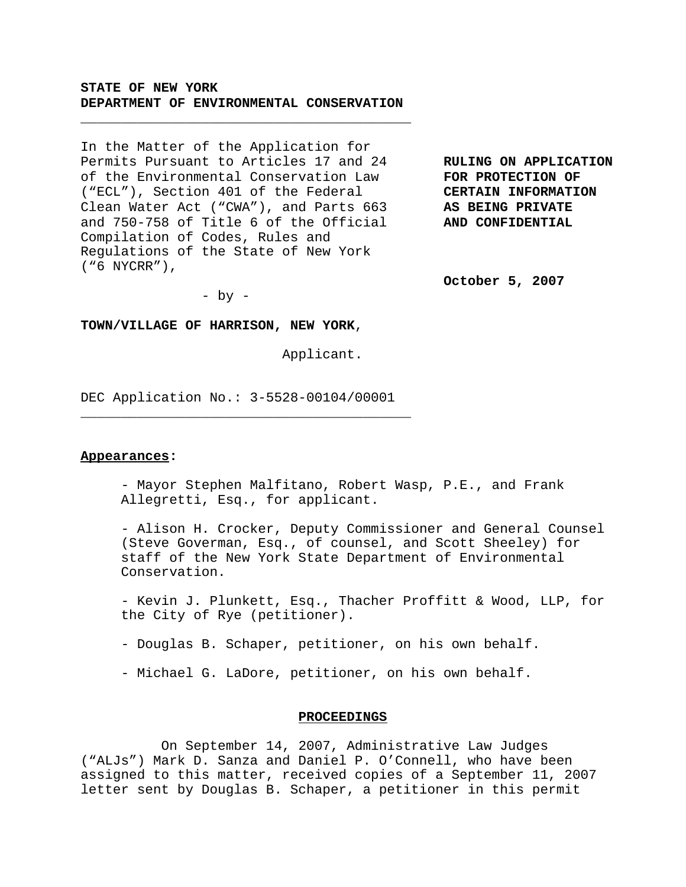## **STATE OF NEW YORK DEPARTMENT OF ENVIRONMENTAL CONSERVATION**

\_\_\_\_\_\_\_\_\_\_\_\_\_\_\_\_\_\_\_\_\_\_\_\_\_\_\_\_\_\_\_\_\_\_\_\_\_\_\_\_\_

In the Matter of the Application for Permits Pursuant to Articles 17 and 24 **RULING ON APPLICATION** of the Environmental Conservation Law **FOR PROTECTION OF** ("ECL"), Section 401 of the Federal **CERTAIN INFORMATION** Clean Water Act ("CWA"), and Parts 663 **AS BEING PRIVATE** and 750-758 of Title 6 of the Official **AND CONFIDENTIAL** Compilation of Codes, Rules and Regulations of the State of New York ("6 NYCRR"),

**October 5, 2007**

 $-$  by  $-$ 

### **TOWN/VILLAGE OF HARRISON, NEW YORK**,

Applicant.

DEC Application No.: 3-5528-00104/00001

\_\_\_\_\_\_\_\_\_\_\_\_\_\_\_\_\_\_\_\_\_\_\_\_\_\_\_\_\_\_\_\_\_\_\_\_\_\_\_\_\_

#### **Appearances:**

- Mayor Stephen Malfitano, Robert Wasp, P.E., and Frank Allegretti, Esq., for applicant.

- Alison H. Crocker, Deputy Commissioner and General Counsel (Steve Goverman, Esq., of counsel, and Scott Sheeley) for staff of the New York State Department of Environmental Conservation.

- Kevin J. Plunkett, Esq., Thacher Proffitt & Wood, LLP, for the City of Rye (petitioner).

- Douglas B. Schaper, petitioner, on his own behalf.

- Michael G. LaDore, petitioner, on his own behalf.

### **PROCEEDINGS**

On September 14, 2007, Administrative Law Judges ("ALJs") Mark D. Sanza and Daniel P. O'Connell, who have been assigned to this matter, received copies of a September 11, 2007 letter sent by Douglas B. Schaper, a petitioner in this permit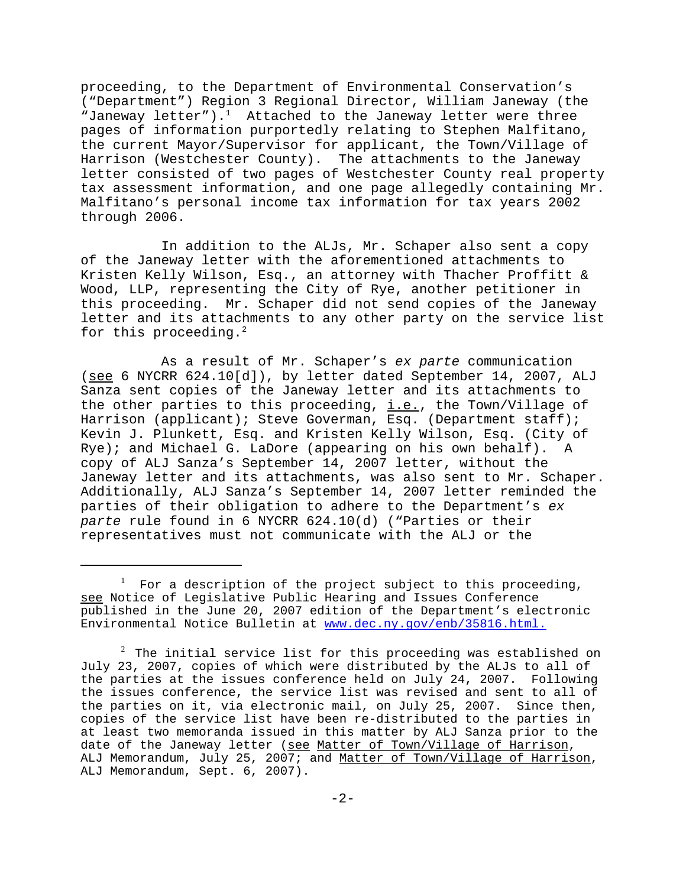proceeding, to the Department of Environmental Conservation's ("Department") Region 3 Regional Director, William Janeway (the "Janeway letter").<sup>1</sup> Attached to the Janeway letter were three pages of information purportedly relating to Stephen Malfitano, the current Mayor/Supervisor for applicant, the Town/Village of Harrison (Westchester County). The attachments to the Janeway letter consisted of two pages of Westchester County real property tax assessment information, and one page allegedly containing Mr. Malfitano's personal income tax information for tax years 2002 through 2006.

In addition to the ALJs, Mr. Schaper also sent a copy of the Janeway letter with the aforementioned attachments to Kristen Kelly Wilson, Esq., an attorney with Thacher Proffitt & Wood, LLP, representing the City of Rye, another petitioner in this proceeding. Mr. Schaper did not send copies of the Janeway letter and its attachments to any other party on the service list for this proceeding. $2$ 

As a result of Mr. Schaper's *ex parte* communication (see 6 NYCRR 624.10[d]), by letter dated September 14, 2007, ALJ Sanza sent copies of the Janeway letter and its attachments to the other parties to this proceeding,  $i.e.,$  the Town/Village of Harrison (applicant); Steve Goverman, Esq. (Department staff); Kevin J. Plunkett, Esq. and Kristen Kelly Wilson, Esq. (City of Rye); and Michael G. LaDore (appearing on his own behalf). A copy of ALJ Sanza's September 14, 2007 letter, without the Janeway letter and its attachments, was also sent to Mr. Schaper. Additionally, ALJ Sanza's September 14, 2007 letter reminded the parties of their obligation to adhere to the Department's *ex parte* rule found in 6 NYCRR 624.10(d) ("Parties or their representatives must not communicate with the ALJ or the

 $^1$  For a description of the project subject to this proceeding, see Notice of Legislative Public Hearing and Issues Conference published in the June 20, 2007 edition of the Department's electronic Environmental Notice Bulletin at www.dec.ny.gov/enb/35816.html.

 $^{\rm 2}$  The initial service list for this proceeding was established on July 23, 2007, copies of which were distributed by the ALJs to all of the parties at the issues conference held on July 24, 2007. Following the issues conference, the service list was revised and sent to all of the parties on it, via electronic mail, on July 25, 2007. Since then, copies of the service list have been re-distributed to the parties in at least two memoranda issued in this matter by ALJ Sanza prior to the date of the Janeway letter (see Matter of Town/Village of Harrison, ALJ Memorandum, July 25, 2007; and Matter of Town/Village of Harrison, ALJ Memorandum, Sept. 6, 2007).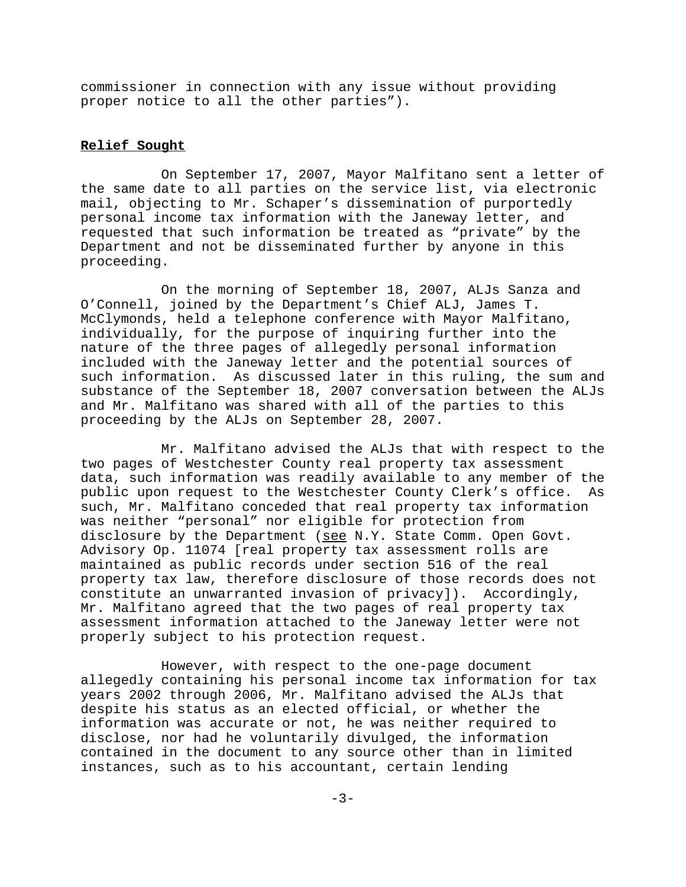commissioner in connection with any issue without providing proper notice to all the other parties").

### **Relief Sought**

On September 17, 2007, Mayor Malfitano sent a letter of the same date to all parties on the service list, via electronic mail, objecting to Mr. Schaper's dissemination of purportedly personal income tax information with the Janeway letter, and requested that such information be treated as "private" by the Department and not be disseminated further by anyone in this proceeding.

On the morning of September 18, 2007, ALJs Sanza and O'Connell, joined by the Department's Chief ALJ, James T. McClymonds, held a telephone conference with Mayor Malfitano, individually, for the purpose of inquiring further into the nature of the three pages of allegedly personal information included with the Janeway letter and the potential sources of such information. As discussed later in this ruling, the sum and substance of the September 18, 2007 conversation between the ALJs and Mr. Malfitano was shared with all of the parties to this proceeding by the ALJs on September 28, 2007.

Mr. Malfitano advised the ALJs that with respect to the two pages of Westchester County real property tax assessment data, such information was readily available to any member of the public upon request to the Westchester County Clerk's office. As such, Mr. Malfitano conceded that real property tax information was neither "personal" nor eligible for protection from disclosure by the Department (see N.Y. State Comm. Open Govt. Advisory Op. 11074 [real property tax assessment rolls are maintained as public records under section 516 of the real property tax law, therefore disclosure of those records does not constitute an unwarranted invasion of privacy]). Accordingly, Mr. Malfitano agreed that the two pages of real property tax assessment information attached to the Janeway letter were not properly subject to his protection request.

However, with respect to the one-page document allegedly containing his personal income tax information for tax years 2002 through 2006, Mr. Malfitano advised the ALJs that despite his status as an elected official, or whether the information was accurate or not, he was neither required to disclose, nor had he voluntarily divulged, the information contained in the document to any source other than in limited instances, such as to his accountant, certain lending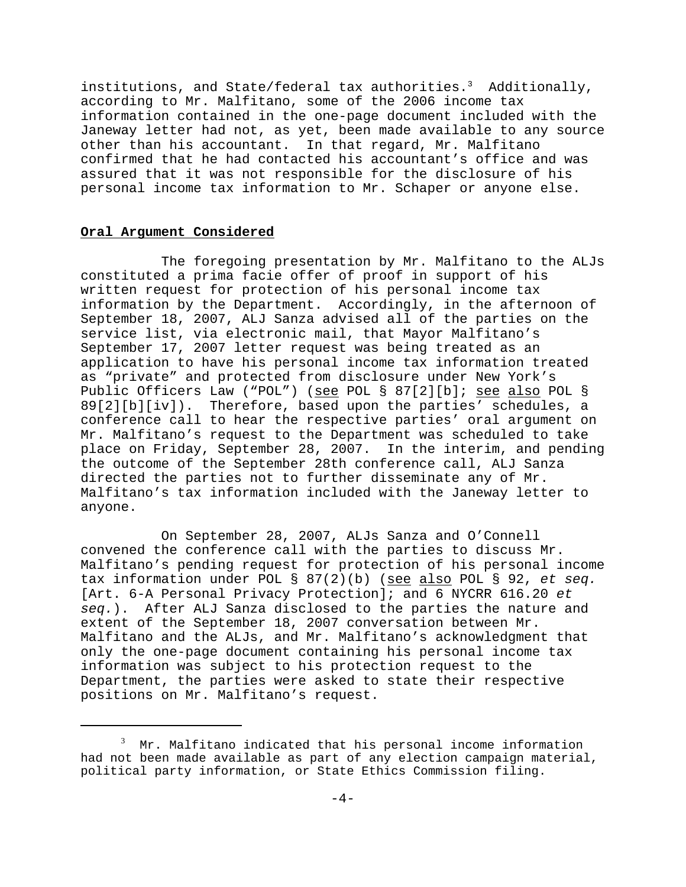institutions, and State/federal tax authorities.<sup>3</sup> Additionally, according to Mr. Malfitano, some of the 2006 income tax information contained in the one-page document included with the Janeway letter had not, as yet, been made available to any source other than his accountant. In that regard, Mr. Malfitano confirmed that he had contacted his accountant's office and was assured that it was not responsible for the disclosure of his personal income tax information to Mr. Schaper or anyone else.

### **Oral Argument Considered**

The foregoing presentation by Mr. Malfitano to the ALJs constituted a prima facie offer of proof in support of his written request for protection of his personal income tax information by the Department. Accordingly, in the afternoon of September 18, 2007, ALJ Sanza advised all of the parties on the service list, via electronic mail, that Mayor Malfitano's September 17, 2007 letter request was being treated as an application to have his personal income tax information treated as "private" and protected from disclosure under New York's Public Officers Law ("POL") (see POL § 87[2][b]; see also POL § 89[2][b][iv]). Therefore, based upon the parties' schedules, a conference call to hear the respective parties' oral argument on Mr. Malfitano's request to the Department was scheduled to take place on Friday, September 28, 2007. In the interim, and pending the outcome of the September 28th conference call, ALJ Sanza directed the parties not to further disseminate any of Mr. Malfitano's tax information included with the Janeway letter to anyone.

On September 28, 2007, ALJs Sanza and O'Connell convened the conference call with the parties to discuss Mr. Malfitano's pending request for protection of his personal income tax information under POL § 87(2)(b) (see also POL § 92, *et seq.* [Art. 6-A Personal Privacy Protection]; and 6 NYCRR 616.20 *et seq.*). After ALJ Sanza disclosed to the parties the nature and extent of the September 18, 2007 conversation between Mr. Malfitano and the ALJs, and Mr. Malfitano's acknowledgment that only the one-page document containing his personal income tax information was subject to his protection request to the Department, the parties were asked to state their respective positions on Mr. Malfitano's request.

<sup>3</sup> Mr. Malfitano indicated that his personal income information had not been made available as part of any election campaign material, political party information, or State Ethics Commission filing.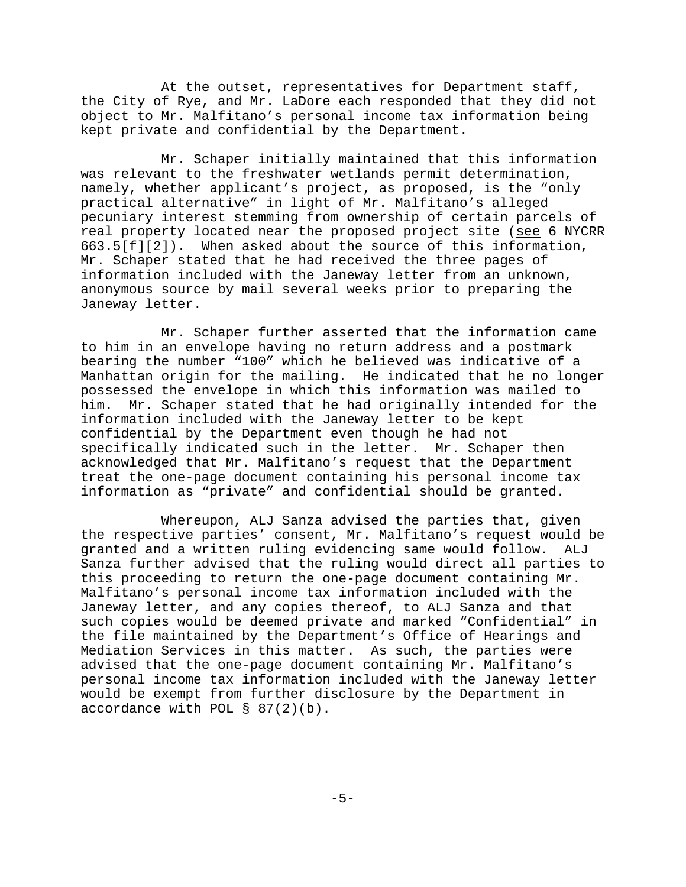At the outset, representatives for Department staff, the City of Rye, and Mr. LaDore each responded that they did not object to Mr. Malfitano's personal income tax information being kept private and confidential by the Department.

Mr. Schaper initially maintained that this information was relevant to the freshwater wetlands permit determination, namely, whether applicant's project, as proposed, is the "only practical alternative" in light of Mr. Malfitano's alleged pecuniary interest stemming from ownership of certain parcels of real property located near the proposed project site (see 6 NYCRR 663.5[f][2]). When asked about the source of this information, Mr. Schaper stated that he had received the three pages of information included with the Janeway letter from an unknown, anonymous source by mail several weeks prior to preparing the Janeway letter.

Mr. Schaper further asserted that the information came to him in an envelope having no return address and a postmark bearing the number "100" which he believed was indicative of a Manhattan origin for the mailing. He indicated that he no longer possessed the envelope in which this information was mailed to him. Mr. Schaper stated that he had originally intended for the information included with the Janeway letter to be kept confidential by the Department even though he had not specifically indicated such in the letter. Mr. Schaper then acknowledged that Mr. Malfitano's request that the Department treat the one-page document containing his personal income tax information as "private" and confidential should be granted.

Whereupon, ALJ Sanza advised the parties that, given the respective parties' consent, Mr. Malfitano's request would be granted and a written ruling evidencing same would follow. ALJ Sanza further advised that the ruling would direct all parties to this proceeding to return the one-page document containing Mr. Malfitano's personal income tax information included with the Janeway letter, and any copies thereof, to ALJ Sanza and that such copies would be deemed private and marked "Confidential" in the file maintained by the Department's Office of Hearings and Mediation Services in this matter. As such, the parties were advised that the one-page document containing Mr. Malfitano's personal income tax information included with the Janeway letter would be exempt from further disclosure by the Department in accordance with POL § 87(2)(b).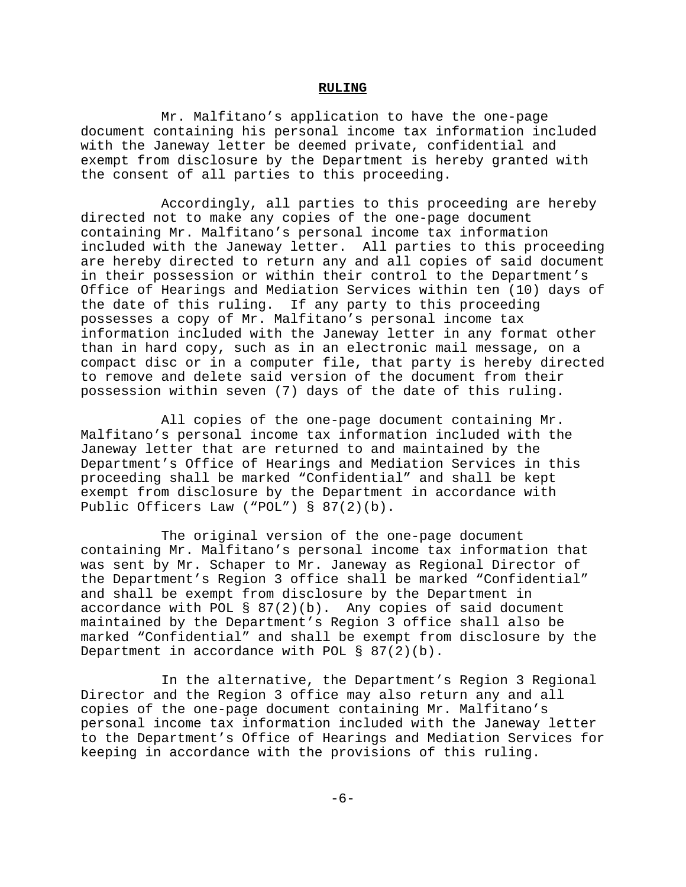### **RULING**

Mr. Malfitano's application to have the one-page document containing his personal income tax information included with the Janeway letter be deemed private, confidential and exempt from disclosure by the Department is hereby granted with the consent of all parties to this proceeding.

Accordingly, all parties to this proceeding are hereby directed not to make any copies of the one-page document containing Mr. Malfitano's personal income tax information included with the Janeway letter. All parties to this proceeding are hereby directed to return any and all copies of said document in their possession or within their control to the Department's Office of Hearings and Mediation Services within ten (10) days of the date of this ruling. If any party to this proceeding possesses a copy of Mr. Malfitano's personal income tax information included with the Janeway letter in any format other than in hard copy, such as in an electronic mail message, on a compact disc or in a computer file, that party is hereby directed to remove and delete said version of the document from their possession within seven (7) days of the date of this ruling.

All copies of the one-page document containing Mr. Malfitano's personal income tax information included with the Janeway letter that are returned to and maintained by the Department's Office of Hearings and Mediation Services in this proceeding shall be marked "Confidential" and shall be kept exempt from disclosure by the Department in accordance with Public Officers Law ("POL") § 87(2)(b).

The original version of the one-page document containing Mr. Malfitano's personal income tax information that was sent by Mr. Schaper to Mr. Janeway as Regional Director of the Department's Region 3 office shall be marked "Confidential" and shall be exempt from disclosure by the Department in accordance with POL  $\S$  87(2)(b). Any copies of said document maintained by the Department's Region 3 office shall also be marked "Confidential" and shall be exempt from disclosure by the Department in accordance with POL § 87(2)(b).

In the alternative, the Department's Region 3 Regional Director and the Region 3 office may also return any and all copies of the one-page document containing Mr. Malfitano's personal income tax information included with the Janeway letter to the Department's Office of Hearings and Mediation Services for keeping in accordance with the provisions of this ruling.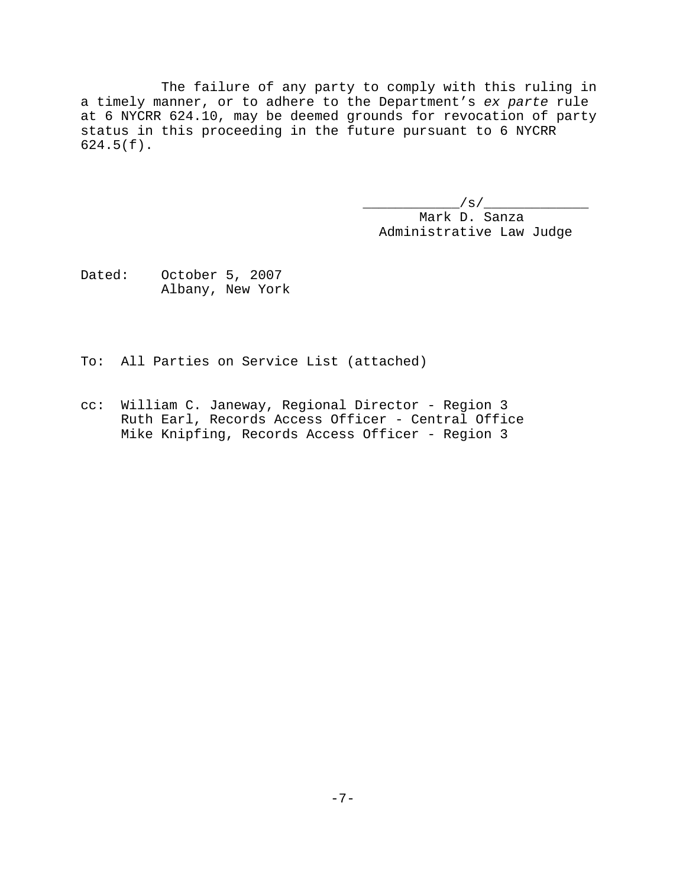The failure of any party to comply with this ruling in a timely manner, or to adhere to the Department's *ex parte* rule at 6 NYCRR 624.10, may be deemed grounds for revocation of party status in this proceeding in the future pursuant to 6 NYCRR 624.5(f).

> $\frac{1}{s}$  / s /  $\frac{1}{s}$  Mark D. Sanza Administrative Law Judge

Dated: October 5, 2007 Albany, New York

To: All Parties on Service List (attached)

cc: William C. Janeway, Regional Director - Region 3 Ruth Earl, Records Access Officer - Central Office Mike Knipfing, Records Access Officer - Region 3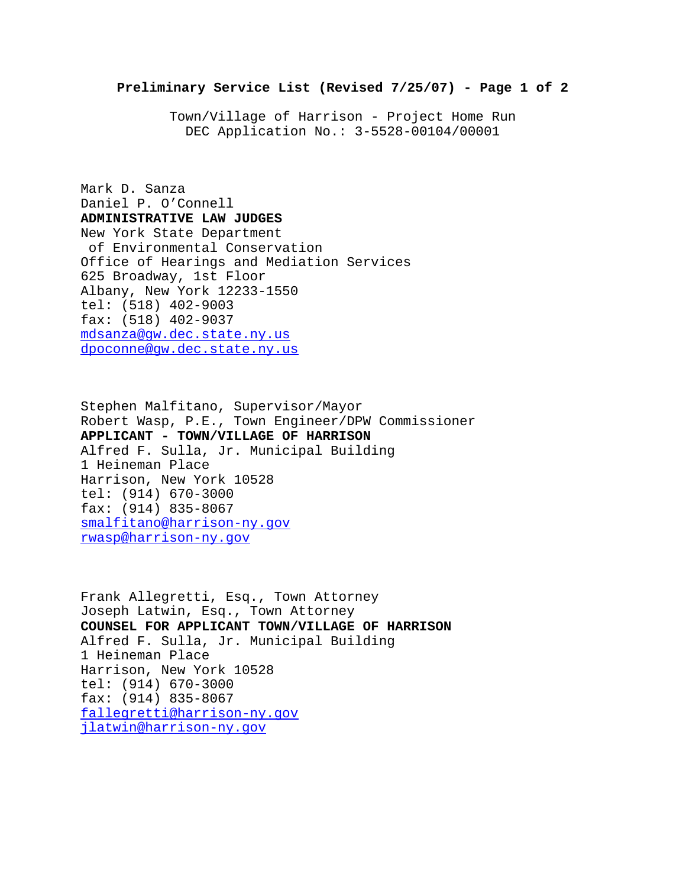Town/Village of Harrison - Project Home Run DEC Application No.: 3-5528-00104/00001

Mark D. Sanza Daniel P. O'Connell **ADMINISTRATIVE LAW JUDGES** New York State Department of Environmental Conservation Office of Hearings and Mediation Services 625 Broadway, 1st Floor Albany, New York 12233-1550 tel: (518) 402-9003 fax: (518) 402-9037 mdsanza@gw.dec.state.ny.us dpoconne@gw.dec.state.ny.us

Stephen Malfitano, Supervisor/Mayor Robert Wasp, P.E., Town Engineer/DPW Commissioner **APPLICANT - TOWN/VILLAGE OF HARRISON** Alfred F. Sulla, Jr. Municipal Building 1 Heineman Place Harrison, New York 10528 tel: (914) 670-3000 fax: (914) 835-8067 smalfitano@harrison-ny.gov rwasp@harrison-ny.gov

Frank Allegretti, Esq., Town Attorney Joseph Latwin, Esq., Town Attorney **COUNSEL FOR APPLICANT TOWN/VILLAGE OF HARRISON** Alfred F. Sulla, Jr. Municipal Building 1 Heineman Place Harrison, New York 10528 tel: (914) 670-3000 fax: (914) 835-8067 fallegretti@harrison-ny.gov jlatwin@harrison-ny.gov